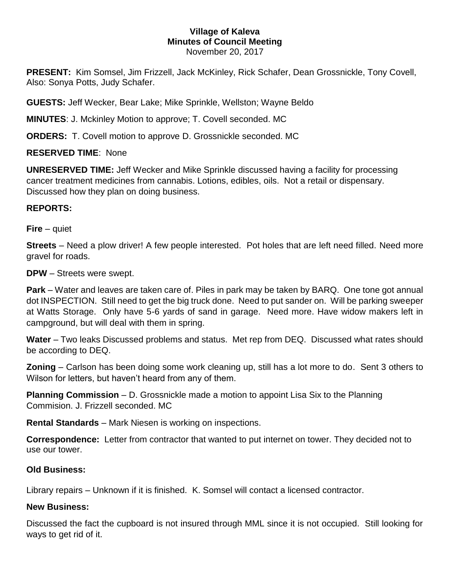## **Village of Kaleva Minutes of Council Meeting** November 20, 2017

**PRESENT:** Kim Somsel, Jim Frizzell, Jack McKinley, Rick Schafer, Dean Grossnickle, Tony Covell, Also: Sonya Potts, Judy Schafer.

**GUESTS:** Jeff Wecker, Bear Lake; Mike Sprinkle, Wellston; Wayne Beldo

**MINUTES**: J. Mckinley Motion to approve; T. Covell seconded. MC

**ORDERS:** T. Covell motion to approve D. Grossnickle seconded. MC

# **RESERVED TIME**: None

**UNRESERVED TIME:** Jeff Wecker and Mike Sprinkle discussed having a facility for processing cancer treatment medicines from cannabis. Lotions, edibles, oils. Not a retail or dispensary. Discussed how they plan on doing business.

# **REPORTS:**

**Fire** – quiet

**Streets** – Need a plow driver! A few people interested. Pot holes that are left need filled. Need more gravel for roads.

**DPW** – Streets were swept.

**Park** – Water and leaves are taken care of. Piles in park may be taken by BARQ. One tone got annual dot INSPECTION. Still need to get the big truck done. Need to put sander on. Will be parking sweeper at Watts Storage. Only have 5-6 yards of sand in garage. Need more. Have widow makers left in campground, but will deal with them in spring.

**Water** – Two leaks Discussed problems and status. Met rep from DEQ. Discussed what rates should be according to DEQ.

**Zoning** – Carlson has been doing some work cleaning up, still has a lot more to do. Sent 3 others to Wilson for letters, but haven't heard from any of them.

**Planning Commission** – D. Grossnickle made a motion to appoint Lisa Six to the Planning Commision. J. Frizzell seconded. MC

**Rental Standards** – Mark Niesen is working on inspections.

**Correspondence:** Letter from contractor that wanted to put internet on tower. They decided not to use our tower.

# **Old Business:**

Library repairs – Unknown if it is finished. K. Somsel will contact a licensed contractor.

# **New Business:**

Discussed the fact the cupboard is not insured through MML since it is not occupied. Still looking for ways to get rid of it.